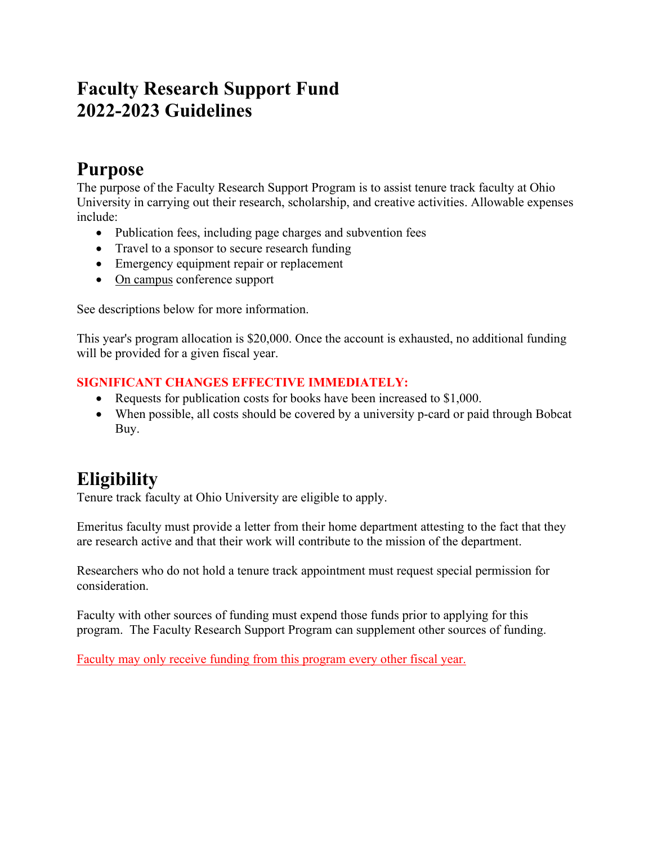## **Faculty Research Support Fund 2022-2023 Guidelines**

### **Purpose**

The purpose of the Faculty Research Support Program is to assist tenure track faculty at Ohio University in carrying out their research, scholarship, and creative activities. Allowable expenses include:

- Publication fees, including page charges and subvention fees
- Travel to a sponsor to secure research funding
- Emergency equipment repair or replacement
- On campus conference support

See descriptions below for more information.

This year's program allocation is \$20,000. Once the account is exhausted, no additional funding will be provided for a given fiscal year.

#### **SIGNIFICANT CHANGES EFFECTIVE IMMEDIATELY:**

- Requests for publication costs for books have been increased to \$1,000.
- When possible, all costs should be covered by a university p-card or paid through Bobcat Buy.

## **Eligibility**

Tenure track faculty at Ohio University are eligible to apply.

Emeritus faculty must provide a letter from their home department attesting to the fact that they are research active and that their work will contribute to the mission of the department.

Researchers who do not hold a tenure track appointment must request special permission for consideration.

Faculty with other sources of funding must expend those funds prior to applying for this program. The Faculty Research Support Program can supplement other sources of funding.

Faculty may only receive funding from this program every other fiscal year.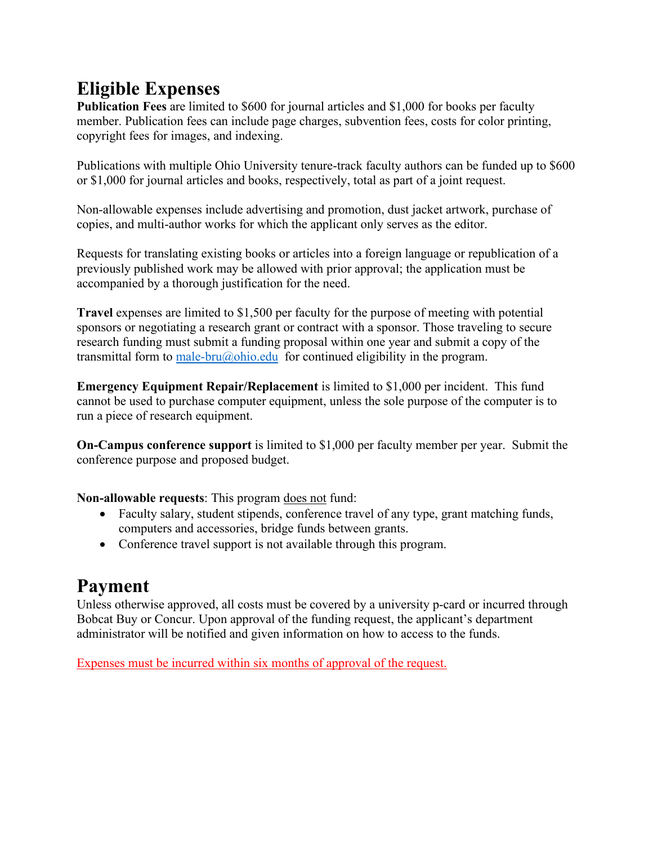# **Eligible Expenses**

**Publication Fees** are limited to \$600 for journal articles and \$1,000 for books per faculty member. Publication fees can include page charges, subvention fees, costs for color printing, copyright fees for images, and indexing.

Publications with multiple Ohio University tenure-track faculty authors can be funded up to \$600 or \$1,000 for journal articles and books, respectively, total as part of a joint request.

Non-allowable expenses include advertising and promotion, dust jacket artwork, purchase of copies, and multi-author works for which the applicant only serves as the editor.

Requests for translating existing books or articles into a foreign language or republication of a previously published work may be allowed with prior approval; the application must be accompanied by a thorough justification for the need.

**Travel** expenses are limited to \$1,500 per faculty for the purpose of meeting with potential sponsors or negotiating a research grant or contract with a sponsor. Those traveling to secure research funding must submit a funding proposal within one year and submit a copy of the transmittal form to [male-bru@ohio.edu](mailto:male-bru@ohio.edu) for continued eligibility in the program.

**Emergency Equipment Repair/Replacement** is limited to \$1,000 per incident. This fund cannot be used to purchase computer equipment, unless the sole purpose of the computer is to run a piece of research equipment.

**On-Campus conference support** is limited to \$1,000 per faculty member per year. Submit the conference purpose and proposed budget.

**Non-allowable requests**: This program does not fund:

- Faculty salary, student stipends, conference travel of any type, grant matching funds, computers and accessories, bridge funds between grants.
- Conference travel support is not available through this program.

### **Payment**

Unless otherwise approved, all costs must be covered by a university p-card or incurred through Bobcat Buy or Concur. Upon approval of the funding request, the applicant's department administrator will be notified and given information on how to access to the funds.

Expenses must be incurred within six months of approval of the request.